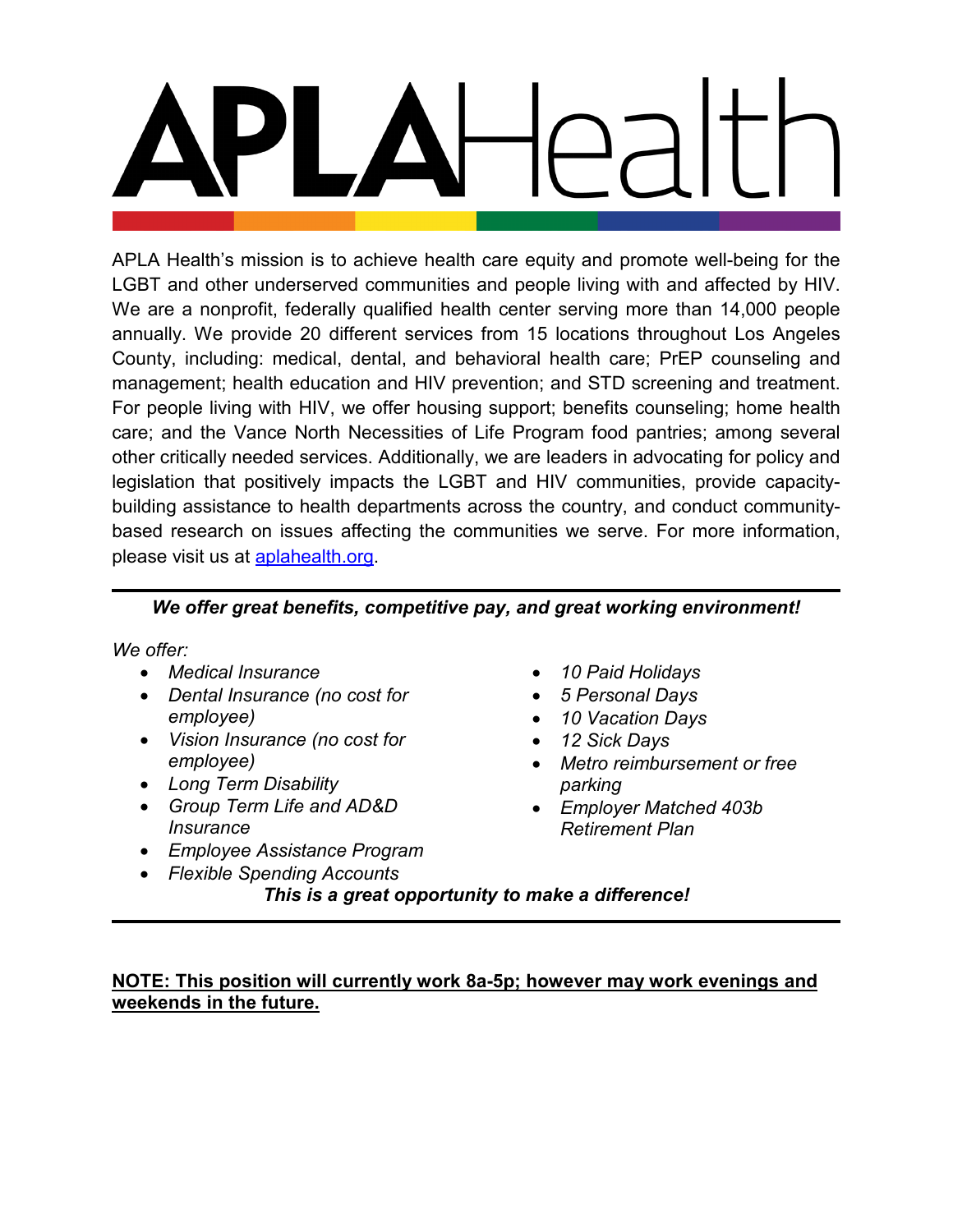APLA Health's mission is to achieve health care equity and promote well-being for the LGBT and other underserved communities and people living with and affected by HIV. We are a nonprofit, federally qualified health center serving more than 14,000 people annually. We provide 20 different services from 15 locations throughout Los Angeles County, including: medical, dental, and behavioral health care; PrEP counseling and management; health education and HIV prevention; and STD screening and treatment. For people living with HIV, we offer housing support; benefits counseling; home health care; and the Vance North Necessities of Life Program food pantries; among several other critically needed services. Additionally, we are leaders in advocating for policy and legislation that positively impacts the LGBT and HIV communities, provide capacitybuilding assistance to health departments across the country, and conduct communitybased research on issues affecting the communities we serve. For more information, please visit us at [aplahealth.org.](http://www.aplahealth.org/)

# *We offer great benefits, competitive pay, and great working environment!*

*We offer:*

- *Medical Insurance*
- *Dental Insurance (no cost for employee)*
- *Vision Insurance (no cost for employee)*
- *Long Term Disability*
- *Group Term Life and AD&D Insurance*
- *Employee Assistance Program*
- *Flexible Spending Accounts*
- *10 Paid Holidays*
- *5 Personal Days*
- *10 Vacation Days*
- *12 Sick Days*
- *Metro reimbursement or free parking*
- *Employer Matched 403b Retirement Plan*
- *This is a great opportunity to make a difference!*

# **NOTE: This position will currently work 8a-5p; however may work evenings and weekends in the future.**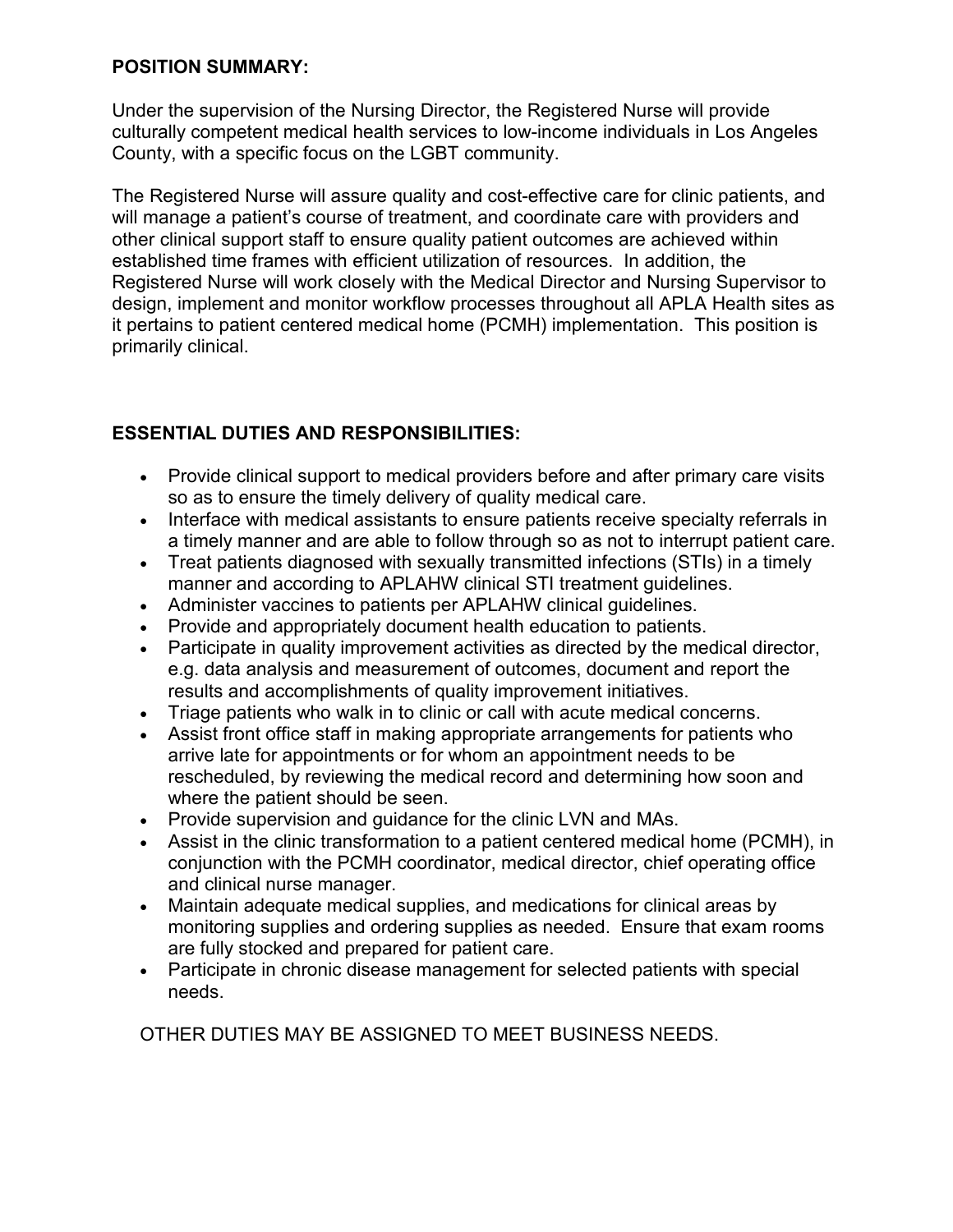# **POSITION SUMMARY:**

Under the supervision of the Nursing Director, the Registered Nurse will provide culturally competent medical health services to low-income individuals in Los Angeles County, with a specific focus on the LGBT community.

The Registered Nurse will assure quality and cost-effective care for clinic patients, and will manage a patient's course of treatment, and coordinate care with providers and other clinical support staff to ensure quality patient outcomes are achieved within established time frames with efficient utilization of resources. In addition, the Registered Nurse will work closely with the Medical Director and Nursing Supervisor to design, implement and monitor workflow processes throughout all APLA Health sites as it pertains to patient centered medical home (PCMH) implementation. This position is primarily clinical.

# **ESSENTIAL DUTIES AND RESPONSIBILITIES:**

- Provide clinical support to medical providers before and after primary care visits so as to ensure the timely delivery of quality medical care.
- Interface with medical assistants to ensure patients receive specialty referrals in a timely manner and are able to follow through so as not to interrupt patient care.
- Treat patients diagnosed with sexually transmitted infections (STIs) in a timely manner and according to APLAHW clinical STI treatment guidelines.
- Administer vaccines to patients per APLAHW clinical guidelines.
- Provide and appropriately document health education to patients.
- Participate in quality improvement activities as directed by the medical director, e.g. data analysis and measurement of outcomes, document and report the results and accomplishments of quality improvement initiatives.
- Triage patients who walk in to clinic or call with acute medical concerns.
- Assist front office staff in making appropriate arrangements for patients who arrive late for appointments or for whom an appointment needs to be rescheduled, by reviewing the medical record and determining how soon and where the patient should be seen.
- Provide supervision and guidance for the clinic LVN and MAs.
- Assist in the clinic transformation to a patient centered medical home (PCMH), in conjunction with the PCMH coordinator, medical director, chief operating office and clinical nurse manager.
- Maintain adequate medical supplies, and medications for clinical areas by monitoring supplies and ordering supplies as needed. Ensure that exam rooms are fully stocked and prepared for patient care.
- Participate in chronic disease management for selected patients with special needs.

OTHER DUTIES MAY BE ASSIGNED TO MEET BUSINESS NEEDS.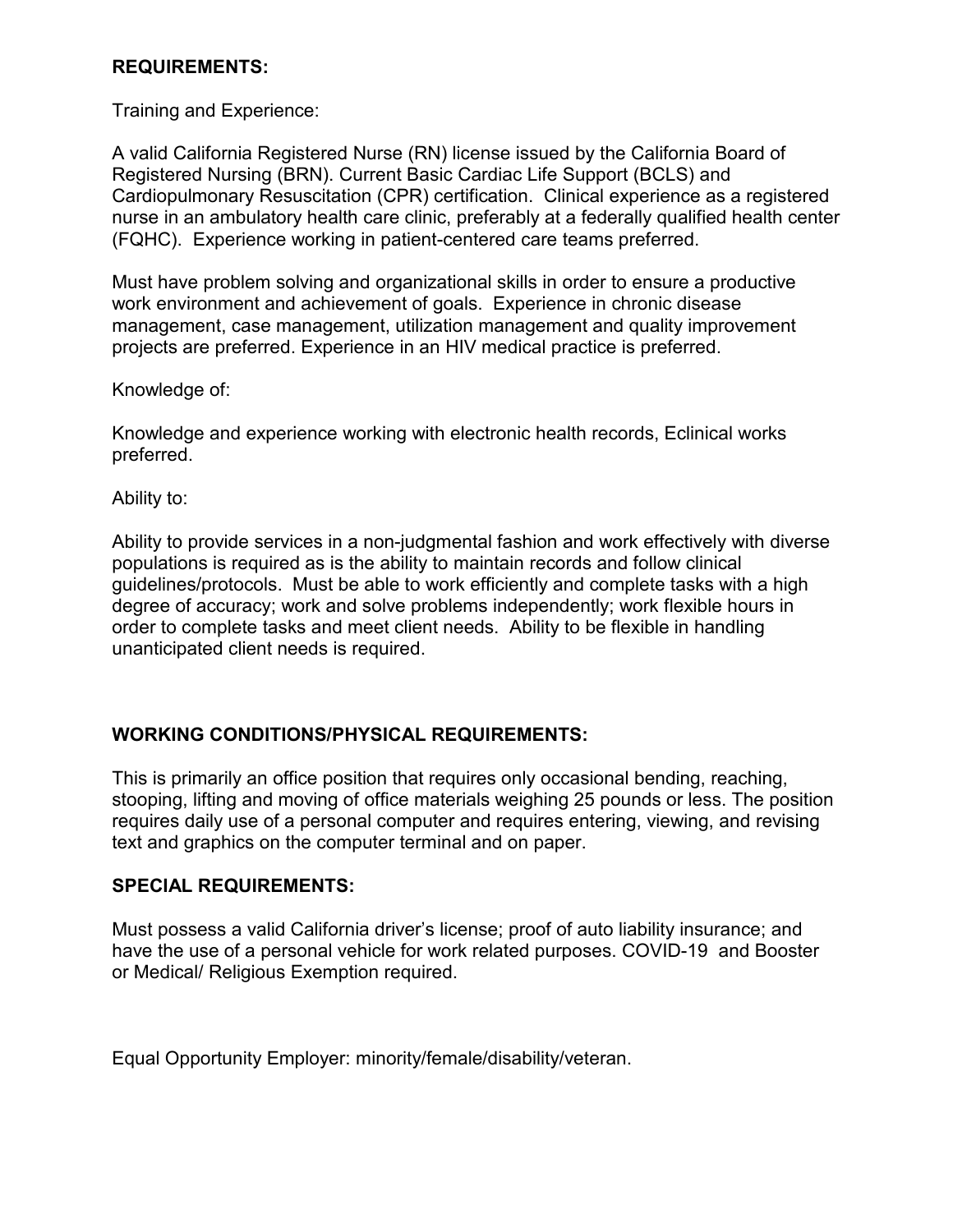## **REQUIREMENTS:**

Training and Experience:

A valid California Registered Nurse (RN) license issued by the California Board of Registered Nursing (BRN). Current Basic Cardiac Life Support (BCLS) and Cardiopulmonary Resuscitation (CPR) certification. Clinical experience as a registered nurse in an ambulatory health care clinic, preferably at a federally qualified health center (FQHC). Experience working in patient-centered care teams preferred.

Must have problem solving and organizational skills in order to ensure a productive work environment and achievement of goals. Experience in chronic disease management, case management, utilization management and quality improvement projects are preferred. Experience in an HIV medical practice is preferred.

Knowledge of:

Knowledge and experience working with electronic health records, Eclinical works preferred.

Ability to:

Ability to provide services in a non-judgmental fashion and work effectively with diverse populations is required as is the ability to maintain records and follow clinical guidelines/protocols. Must be able to work efficiently and complete tasks with a high degree of accuracy; work and solve problems independently; work flexible hours in order to complete tasks and meet client needs. Ability to be flexible in handling unanticipated client needs is required.

# **WORKING CONDITIONS/PHYSICAL REQUIREMENTS:**

This is primarily an office position that requires only occasional bending, reaching, stooping, lifting and moving of office materials weighing 25 pounds or less. The position requires daily use of a personal computer and requires entering, viewing, and revising text and graphics on the computer terminal and on paper.

#### **SPECIAL REQUIREMENTS:**

Must possess a valid California driver's license; proof of auto liability insurance; and have the use of a personal vehicle for work related purposes. COVID-19 and Booster or Medical/ Religious Exemption required.

Equal Opportunity Employer: minority/female/disability/veteran.